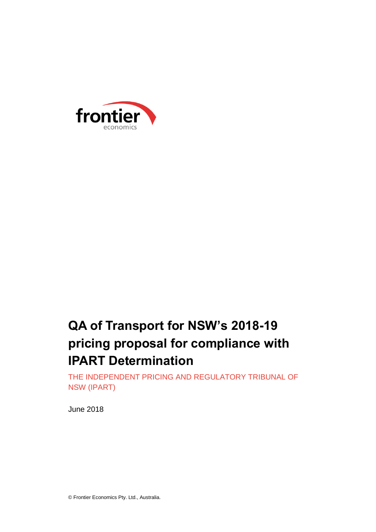

# **QA of Transport for NSW's 2018-19 pricing proposal for compliance with IPART Determination**

THE INDEPENDENT PRICING AND REGULATORY TRIBUNAL OF NSW (IPART)

June 2018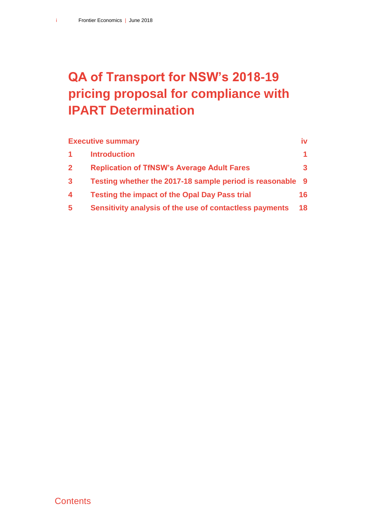# **QA of Transport for NSW's 2018-19 pricing proposal for compliance with IPART Determination**

|                         | <b>Executive summary</b>                                  | iv |
|-------------------------|-----------------------------------------------------------|----|
|                         | <b>Introduction</b>                                       |    |
| $\mathbf{2}$            | <b>Replication of TfNSW's Average Adult Fares</b>         |    |
| $\mathbf{3}$            | Testing whether the 2017-18 sample period is reasonable 9 |    |
| $\overline{\mathbf{4}}$ | <b>Testing the impact of the Opal Day Pass trial</b>      | 16 |
| 5                       | Sensitivity analysis of the use of contactless payments   | 18 |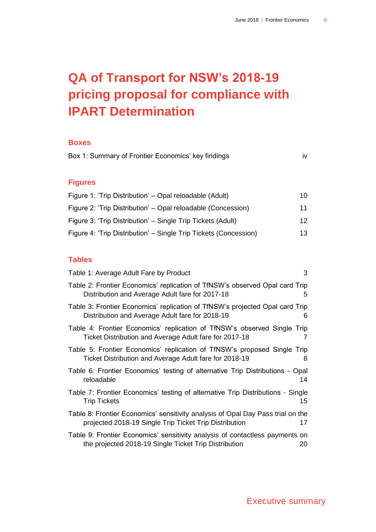# **QA of Transport for NSW's 2018-19 pricing proposal for compliance with IPART Determination**

#### **Boxes**

| Box 1: Summary of Frontier Economics' key findings               |         |  |  |  |  |  |
|------------------------------------------------------------------|---------|--|--|--|--|--|
| <b>Figures</b>                                                   |         |  |  |  |  |  |
| Figure 1: 'Trip Distribution' – Opal reloadable (Adult)          | 10      |  |  |  |  |  |
| Figure 2: 'Trip Distribution' – Opal reloadable (Concession)     | 11      |  |  |  |  |  |
| Figure 3: 'Trip Distribution' - Single Trip Tickets (Adult)      | $12 \,$ |  |  |  |  |  |
| Figure 4: 'Trip Distribution' – Single Trip Tickets (Concession) | 13      |  |  |  |  |  |

### **Tables**

| Table 1: Average Adult Fare by Product                                                                                                    | 3  |
|-------------------------------------------------------------------------------------------------------------------------------------------|----|
| Table 2: Frontier Economics' replication of TfNSW's observed Opal card Trip<br>Distribution and Average Adult fare for 2017-18            | 5  |
| Table 3: Frontier Economics' replication of TfNSW's projected Opal card Trip<br>Distribution and Average Adult fare for 2018-19           | 6  |
| Table 4: Frontier Economics' replication of TfNSW's observed Single Trip<br>Ticket Distribution and Average Adult fare for 2017-18        | 7  |
| Table 5: Frontier Economics' replication of TfNSW's proposed Single Trip<br>Ticket Distribution and Average Adult fare for 2018-19        | 8  |
| Table 6: Frontier Economics' testing of alternative Trip Distributions - Opal<br>reloadable                                               | 14 |
| Table 7: Frontier Economics' testing of alternative Trip Distributions - Single<br><b>Trip Tickets</b>                                    | 15 |
| Table 8: Frontier Economics' sensitivity analysis of Opal Day Pass trial on the<br>projected 2018-19 Single Trip Ticket Trip Distribution | 17 |
| Table 9: Frontier Economics' sensitivity analysis of contactless payments on<br>the projected 2018-19 Single Ticket Trip Distribution     | 20 |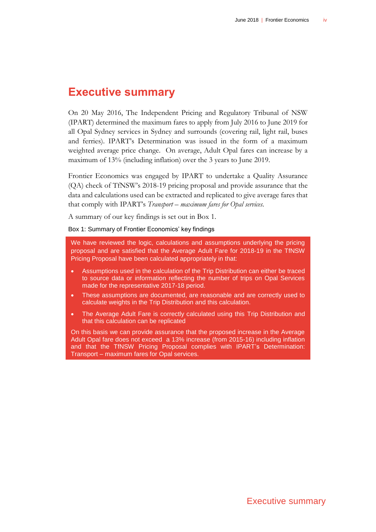### <span id="page-4-0"></span>**Executive summary**

On 20 May 2016, The Independent Pricing and Regulatory Tribunal of NSW (IPART) determined the maximum fares to apply from July 2016 to June 2019 for all Opal Sydney services in Sydney and surrounds (covering rail, light rail, buses and ferries). IPART's Determination was issued in the form of a maximum weighted average price change. On average, Adult Opal fares can increase by a maximum of 13% (including inflation) over the 3 years to June 2019.

Frontier Economics was engaged by IPART to undertake a Quality Assurance (QA) check of TfNSW's 2018-19 pricing proposal and provide assurance that the data and calculations used can be extracted and replicated to give average fares that that comply with IPART's *Transport – maximum fares for Opal services.*

A summary of our key findings is set out in Box 1.

<span id="page-4-1"></span>Box 1: Summary of Frontier Economics' key findings

We have reviewed the logic, calculations and assumptions underlying the pricing proposal and are satisfied that the Average Adult Fare for 2018-19 in the TfNSW Pricing Proposal have been calculated appropriately in that:

- Assumptions used in the calculation of the Trip Distribution can either be traced to source data or information reflecting the number of trips on Opal Services made for the representative 2017-18 period.
- These assumptions are documented, are reasonable and are correctly used to calculate weights in the Trip Distribution and this calculation.
- The Average Adult Fare is correctly calculated using this Trip Distribution and that this calculation can be replicated

On this basis we can provide assurance that the proposed increase in the Average Adult Opal fare does not exceed a 13% increase (from 2015-16) including inflation and that the TfNSW Pricing Proposal complies with IPART's Determination: Transport – maximum fares for Opal services.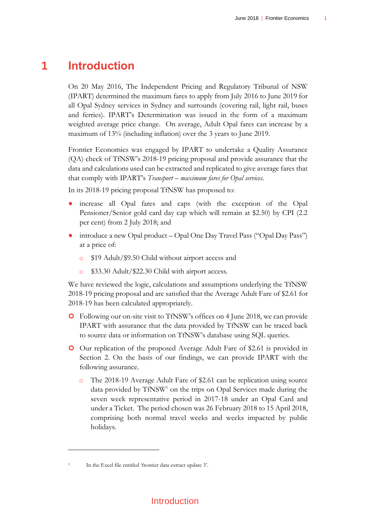### **1 Introduction**

<span id="page-5-0"></span>On 20 May 2016, The Independent Pricing and Regulatory Tribunal of NSW (IPART) determined the maximum fares to apply from July 2016 to June 2019 for all Opal Sydney services in Sydney and surrounds (covering rail, light rail, buses and ferries). IPART's Determination was issued in the form of a maximum weighted average price change. On average, Adult Opal fares can increase by a maximum of 13% (including inflation) over the 3 years to June 2019.

Frontier Economics was engaged by IPART to undertake a Quality Assurance (QA) check of TfNSW's 2018-19 pricing proposal and provide assurance that the data and calculations used can be extracted and replicated to give average fares that that comply with IPART's *Transport – maximum fares for Opal services.*

In its 2018-19 pricing proposal TfNSW has proposed to:

- increase all Opal fares and caps (with the exception of the Opal Pensioner/Senior gold card day cap which will remain at \$2.50) by CPI (2.2 per cent) from 2 July 2018; and
- introduce a new Opal product Opal One Day Travel Pass ("Opal Day Pass") at a price of:
	- \$19 Adult/\$9.50 Child without airport access and
	- \$33.30 Adult/\$22.30 Child with airport access.

We have reviewed the logic, calculations and assumptions underlying the TfNSW 2018-19 pricing proposal and are satisfied that the Average Adult Fare of \$2.61 for 2018-19 has been calculated appropriately.

- Following our on-site visit to TfNSW's offices on 4 June 2018, we can provide IPART with assurance that the data provided by TfNSW can be traced back to source data or information on TfNSW's database using SQL queries.
- Our replication of the proposed Average Adult Fare of \$2.61 is provided in Section [2.](#page-7-0) On the basis of our findings, we can provide IPART with the following assurance.
	- The 2018-19 Average Adult Fare of  $$2.61$  can be replication using source data provided by TfNSW<sup>1</sup> on the trips on Opal Services made during the seven week representative period in 2017-18 under an Opal Card and under a Ticket. The period chosen was 26 February 2018 to 15 April 2018, comprising both normal travel weeks and weeks impacted by public holidays.

 $\overline{a}$ 

<sup>1</sup> In the Excel file entitled 'frontier data extract update 3'.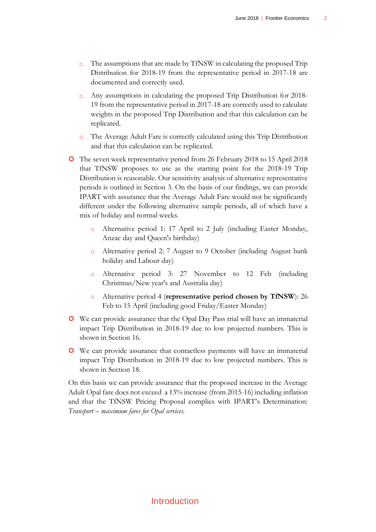- $\Box$  The assumptions that are made by TfNSW in calculating the proposed Trip Distribution for 2018-19 from the representative period in 2017-18 are documented and correctly used.
- Any assumptions in calculating the proposed Trip Distribution for 2018- 19 from the representative period in 2017-18 are correctly used to calculate weights in the proposed Trip Distribution and that this calculation can be replicated.
- $\Box$  The Average Adult Fare is correctly calculated using this Trip Distribution and that this calculation can be replicated.
- The seven week representative period from 26 February 2018 to 15 April 2018 that TfNSW proposes to use as the starting point for the 2018-19 Trip Distribution is reasonable. Our sensitivity analysis of alternative representative periods is outlined in Section [3.](#page-13-0) On the basis of our findings, we can provide IPART with assurance that the Average Adult Fare would not be significantly different under the following alternative sample periods, all of which have a mix of holiday and normal weeks.
	- Alternative period 1: 17 April to 2 July (including Easter Monday, Anzac day and Queen's birthday)
	- Alternative period 2: 7 August to 9 October (including August bank holiday and Labour day)
	- Alternative period 3: 27 November to 12 Feb (including Christmas/New year's and Australia day)
	- Alternative period 4 (**representative period chosen by TfNSW**): 26 Feb to 15 April (including good Friday/Easter Monday)
- We can provide assurance that the Opal Day Pass trial will have an immaterial impact Trip Distribution in 2018-19 due to low projected numbers. This is shown in Section [16.](#page-19-1)
- We can provide assurance that contactless payments will have an immaterial impact Trip Distribution in 2018-19 due to low projected numbers. This is shown in Section [18.](#page-22-0)

On this basis we can provide assurance that the proposed increase in the Average Adult Opal fare does not exceed a 13% increase (from 2015-16) including inflation and that the TfNSW Pricing Proposal complies with IPART's Determination: *Transport – maximum fares for Opal services.* 

### Introduction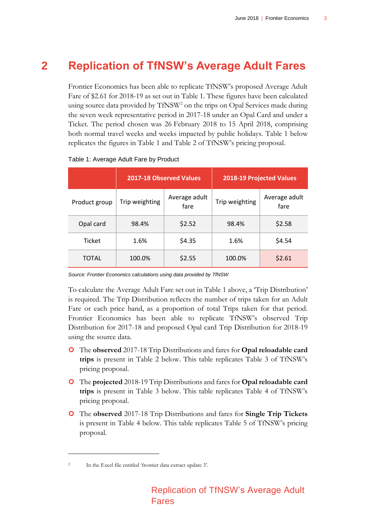### **2 Replication of TfNSW's Average Adult Fares**

<span id="page-7-0"></span>Frontier Economics has been able to replicate TfNSW's proposed Average Adult Fare of \$2.61 for 2018-19 as set out in [Table 1.](#page-7-1) These figures have been calculated using source data provided by TfNSW<sup>2</sup> on the trips on Opal Services made during the seven week representative period in 2017-18 under an Opal Card and under a Ticket. The period chosen was 26 February 2018 to 15 April 2018, comprising both normal travel weeks and weeks impacted by public holidays. [Table 1](#page-7-1) below replicates the figures in Table 1 and Table 2 of TfNSW's pricing proposal.

|               |                | <b>2017-18 Observed Values</b> | <b>2018-19 Projected Values</b> |                       |  |
|---------------|----------------|--------------------------------|---------------------------------|-----------------------|--|
| Product group | Trip weighting | Average adult<br>fare          | Trip weighting                  | Average adult<br>fare |  |
| Opal card     | 98.4%          | \$2.52                         | 98.4%                           | \$2.58                |  |
| <b>Ticket</b> | 1.6%           | \$4.35                         | 1.6%                            | \$4.54                |  |
| <b>TOTAL</b>  | 100.0%         | \$2.55                         | 100.0%                          | \$2.61                |  |

<span id="page-7-1"></span>

*Source: Frontier Economics calculations using data provided by TfNSW* 

To calculate the Average Adult Fare set out in [Table 1](#page-7-1) above, a 'Trip Distribution' is required. The Trip Distribution reflects the number of trips taken for an Adult Fare or each price band, as a proportion of total Trips taken for that period. Frontier Economics has been able to replicate TfNSW's observed Trip Distribution for 2017-18 and proposed Opal card Trip Distribution for 2018-19 using the source data.

- The **observed** 2017-18 Trip Distributions and fares for **Opal reloadable card trips** is present in [Table 2](#page-9-0) below. This table replicates Table 3 of TfNSW's pricing proposal.
- The **projected** 2018-19 Trip Distributions and fares for **Opal reloadable card trips** is present in [Table 3](#page-10-0) below. This table replicates Table 4 of TfNSW's pricing proposal.
- The **observed** 2017-18 Trip Distributions and fares for **Single Trip Tickets** is present in [Table 4](#page-11-0) below. This table replicates Table 5 of TfNSW's pricing proposal.

 $\overline{a}$ 

<sup>2</sup> In the Excel file entitled 'frontier data extract update 3'.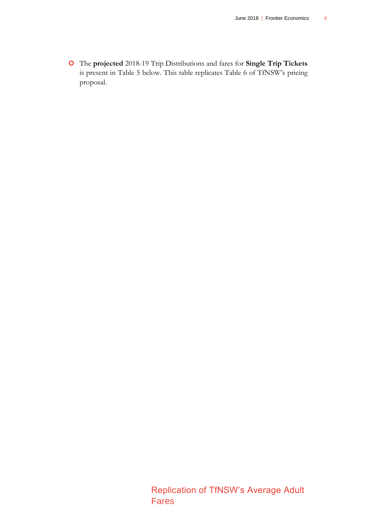The **projected** 2018-19 Trip Distributions and fares for **Single Trip Tickets** is present in [Table 5](#page-12-0) below. This table replicates Table 6 of TfNSW's pricing proposal.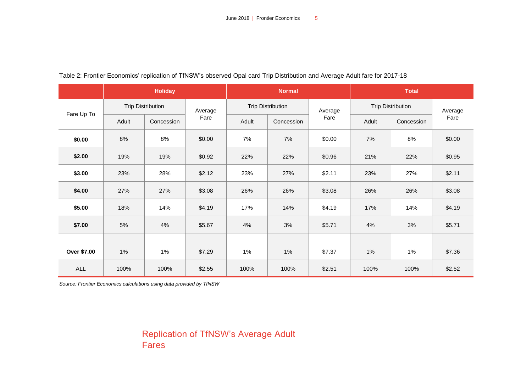|             | <b>Holiday</b> |                          |         | <b>Normal</b> |                          |        | <b>Total</b>             |            |         |
|-------------|----------------|--------------------------|---------|---------------|--------------------------|--------|--------------------------|------------|---------|
| Fare Up To  |                | <b>Trip Distribution</b> | Average |               | <b>Trip Distribution</b> |        | <b>Trip Distribution</b> |            | Average |
|             | Adult          | Concession               | Fare    | Adult         | Concession               | Fare   | Adult                    | Concession | Fare    |
| \$0.00      | 8%             | 8%                       | \$0.00  | 7%            | 7%                       | \$0.00 | $7\%$                    | 8%         | \$0.00  |
| \$2.00      | 19%            | 19%                      | \$0.92  | 22%           | 22%                      | \$0.96 | 21%                      | 22%        | \$0.95  |
| \$3.00      | 23%            | 28%                      | \$2.12  | 23%           | 27%                      | \$2.11 | 23%                      | 27%        | \$2.11  |
| \$4.00      | 27%            | 27%                      | \$3.08  | 26%           | 26%                      | \$3.08 | 26%                      | 26%        | \$3.08  |
| \$5.00      | 18%            | 14%                      | \$4.19  | 17%           | 14%                      | \$4.19 | 17%                      | 14%        | \$4.19  |
| \$7.00      | 5%             | 4%                       | \$5.67  | 4%            | 3%                       | \$5.71 | 4%                       | 3%         | \$5.71  |
|             |                |                          |         |               |                          |        |                          |            |         |
| Over \$7.00 | 1%             | 1%                       | \$7.29  | $1\%$         | 1%                       | \$7.37 | 1%                       | 1%         | \$7.36  |
| <b>ALL</b>  | 100%           | 100%                     | \$2.55  | 100%          | 100%                     | \$2.51 | 100%                     | 100%       | \$2.52  |

#### Table 2: Frontier Economics' replication of TfNSW's observed Opal card Trip Distribution and Average Adult fare for 2017-18

<span id="page-9-0"></span>*Source: Frontier Economics calculations using data provided by TfNSW*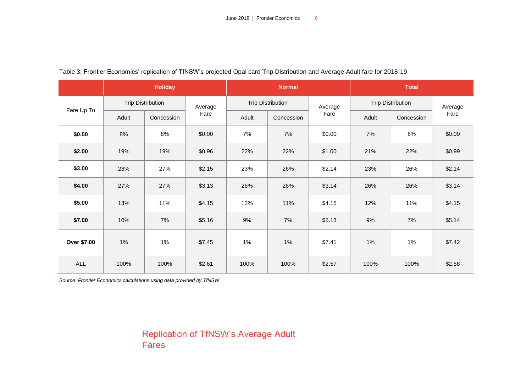|             | <b>Holiday</b> |                          |         | <b>Normal</b> |                          |         | <b>Total</b>             |            |         |
|-------------|----------------|--------------------------|---------|---------------|--------------------------|---------|--------------------------|------------|---------|
| Fare Up To  |                | <b>Trip Distribution</b> | Average |               | <b>Trip Distribution</b> | Average | <b>Trip Distribution</b> |            | Average |
|             | Adult          | Concession               | Fare    | Adult         | Concession               | Fare    | Adult                    | Concession | Fare    |
| \$0.00      | 8%             | 8%                       | \$0.00  | 7%            | 7%                       | \$0.00  | 7%                       | 8%         | \$0.00  |
| \$2.00      | 19%            | 19%                      | \$0.96  | 22%           | 22%                      | \$1.00  | 21%                      | 22%        | \$0.99  |
| \$3.00      | 23%            | 27%                      | \$2.15  | 23%           | 26%                      | \$2.14  | 23%                      | 26%        | \$2.14  |
| \$4.00      | 27%            | 27%                      | \$3.13  | 26%           | 26%                      | \$3.14  | 26%                      | 26%        | \$3.14  |
| \$5.00      | 13%            | 11%                      | \$4.15  | 12%           | 11%                      | \$4.15  | 12%                      | 11%        | \$4.15  |
| \$7.00      | 10%            | 7%                       | \$5.16  | 9%            | 7%                       | \$5.13  | 9%                       | 7%         | \$5.14  |
| Over \$7.00 | 1%             | 1%                       | \$7.45  | 1%            | 1%                       | \$7.41  | 1%                       | 1%         | \$7.42  |
| <b>ALL</b>  | 100%           | 100%                     | \$2.61  | 100%          | 100%                     | \$2.57  | 100%                     | 100%       | \$2.58  |

Table 3: Frontier Economics' replication of TfNSW's projected Opal card Trip Distribution and Average Adult fare for 2018-19

<span id="page-10-0"></span>*Source: Frontier Economics calculations using data provided by TfNSW*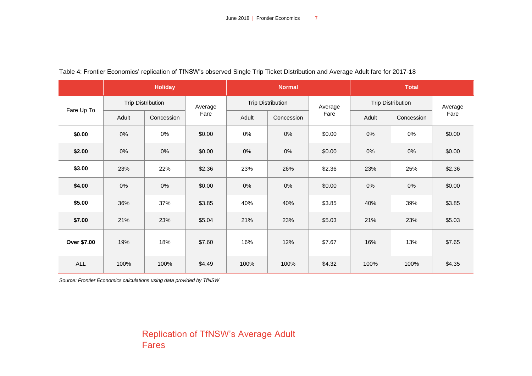|             | <b>Holiday</b> |                          |         |       | <b>Normal</b>            |        | <b>Total</b>             |            |         |
|-------------|----------------|--------------------------|---------|-------|--------------------------|--------|--------------------------|------------|---------|
| Fare Up To  |                | <b>Trip Distribution</b> | Average |       | <b>Trip Distribution</b> |        | <b>Trip Distribution</b> |            | Average |
|             | Adult          | Concession               | Fare    | Adult | Concession               | Fare   | Adult                    | Concession | Fare    |
| \$0.00      | 0%             | 0%                       | \$0.00  | 0%    | 0%                       | \$0.00 | 0%                       | 0%         | \$0.00  |
| \$2.00      | 0%             | $0\%$                    | \$0.00  | 0%    | 0%                       | \$0.00 | 0%                       | $0\%$      | \$0.00  |
| \$3.00      | 23%            | 22%                      | \$2.36  | 23%   | 26%                      | \$2.36 | 23%                      | 25%        | \$2.36  |
| \$4.00      | 0%             | 0%                       | \$0.00  | 0%    | 0%                       | \$0.00 | 0%                       | 0%         | \$0.00  |
| \$5.00      | 36%            | 37%                      | \$3.85  | 40%   | 40%                      | \$3.85 | 40%                      | 39%        | \$3.85  |
| \$7.00      | 21%            | 23%                      | \$5.04  | 21%   | 23%                      | \$5.03 | 21%                      | 23%        | \$5.03  |
| Over \$7.00 | 19%            | 18%                      | \$7.60  | 16%   | 12%                      | \$7.67 | 16%                      | 13%        | \$7.65  |
| <b>ALL</b>  | 100%           | 100%                     | \$4.49  | 100%  | 100%                     | \$4.32 | 100%                     | 100%       | \$4.35  |

#### Table 4: Frontier Economics' replication of TfNSW's observed Single Trip Ticket Distribution and Average Adult fare for 2017-18

<span id="page-11-0"></span>*Source: Frontier Economics calculations using data provided by TfNSW*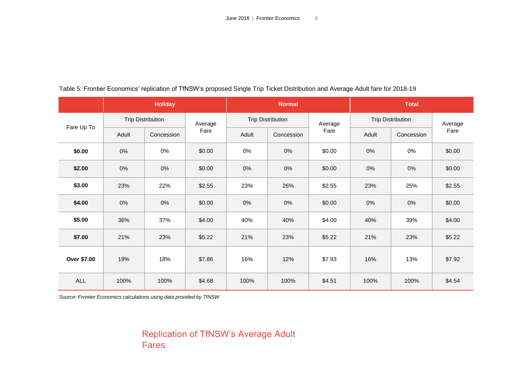|             | <b>Holiday</b> |                          |         |       | <b>Normal</b>            |        | <b>Total</b>             |            |         |  |
|-------------|----------------|--------------------------|---------|-------|--------------------------|--------|--------------------------|------------|---------|--|
| Fare Up To  |                | <b>Trip Distribution</b> | Average |       | <b>Trip Distribution</b> |        | <b>Trip Distribution</b> |            | Average |  |
|             | Adult          | Concession               | Fare    | Adult | Concession               | Fare   | Adult                    | Concession | Fare    |  |
| \$0.00      | 0%             | 0%                       | \$0.00  | 0%    | 0%                       | \$0.00 | 0%                       | 0%         | \$0.00  |  |
| \$2.00      | $0\%$          | 0%                       | \$0.00  | $0\%$ | 0%                       | \$0.00 | 0%                       | $0\%$      | \$0.00  |  |
| \$3.00      | 23%            | 22%                      | \$2.55  | 23%   | 26%                      | \$2.55 | 23%                      | 25%        | \$2.55  |  |
| \$4.00      | 0%             | 0%                       | \$0.00  | $0\%$ | 0%                       | \$0.00 | 0%                       | 0%         | \$0.00  |  |
| \$5.00      | 36%            | 37%                      | \$4.00  | 40%   | 40%                      | \$4.00 | 40%                      | 39%        | \$4.00  |  |
| \$7.00      | 21%            | 23%                      | \$5.22  | 21%   | 23%                      | \$5.22 | 21%                      | 23%        | \$5.22  |  |
| Over \$7.00 | 19%            | 18%                      | \$7.86  | 16%   | 12%                      | \$7.93 | 16%                      | 13%        | \$7.92  |  |
| <b>ALL</b>  | 100%           | 100%                     | \$4.68  | 100%  | 100%                     | \$4.51 | 100%                     | 100%       | \$4.54  |  |

### Table 5: Frontier Economics' replication of TfNSW's proposed Single Trip Ticket Distribution and Average Adult fare for 2018-19

<span id="page-12-0"></span>*Source: Frontier Economics calculations using data provided by TfNSW*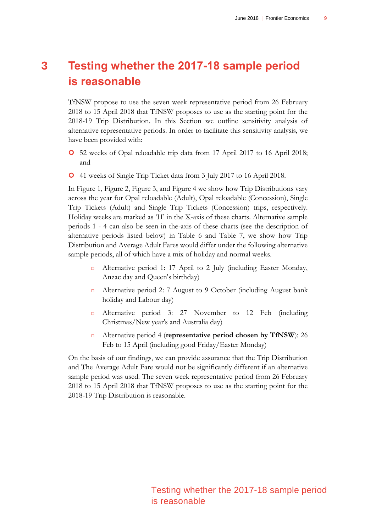<span id="page-13-0"></span>TfNSW propose to use the seven week representative period from 26 February 2018 to 15 April 2018 that TfNSW proposes to use as the starting point for the 2018-19 Trip Distribution. In this Section we outline sensitivity analysis of alternative representative periods. In order to facilitate this sensitivity analysis, we have been provided with:

- 52 weeks of Opal reloadable trip data from 17 April 2017 to 16 April 2018; and
- 41 weeks of Single Trip Ticket data from 3 July 2017 to 16 April 2018.

In [Figure 1,](#page-14-0) [Figure 2,](#page-15-0) [Figure 3,](#page-16-0) and [Figure 4](#page-17-0) we show how Trip Distributions vary across the year for Opal reloadable (Adult), Opal reloadable (Concession), Single Trip Tickets (Adult) and Single Trip Tickets (Concession) trips, respectively. Holiday weeks are marked as 'H' in the X-axis of these charts. Alternative sample periods 1 - 4 can also be seen in the-axis of these charts (see the description of alternative periods listed below) in [Table 6](#page-18-0) and [Table 7,](#page-19-0) we show how Trip Distribution and Average Adult Fares would differ under the following alternative sample periods, all of which have a mix of holiday and normal weeks.

- Alternative period 1: 17 April to 2 July (including Easter Monday, Anzac day and Queen's birthday)
- Alternative period 2: 7 August to 9 October (including August bank holiday and Labour day)
- Alternative period 3: 27 November to 12 Feb (including Christmas/New year's and Australia day)
- Alternative period 4 (**representative period chosen by TfNSW**): 26 Feb to 15 April (including good Friday/Easter Monday)

On the basis of our findings, we can provide assurance that the Trip Distribution and The Average Adult Fare would not be significantly different if an alternative sample period was used. The seven week representative period from 26 February 2018 to 15 April 2018 that TfNSW proposes to use as the starting point for the 2018-19 Trip Distribution is reasonable.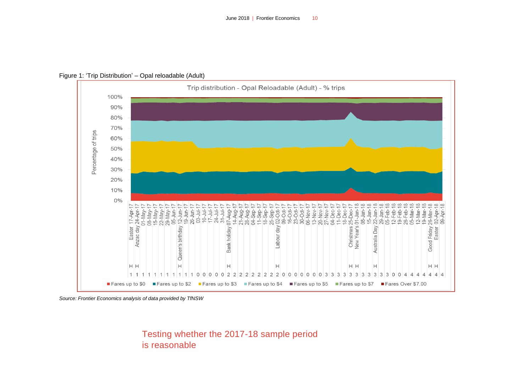

Figure 1: 'Trip Distribution' – Opal reloadable (Adult)

<span id="page-14-0"></span>*Source: Frontier Economics analysis of data provided by TfNSW*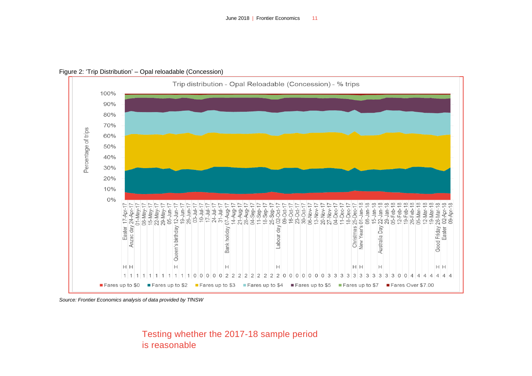

Figure 2: 'Trip Distribution' – Opal reloadable (Concession)

<span id="page-15-0"></span>*Source: Frontier Economics analysis of data provided by TfNSW*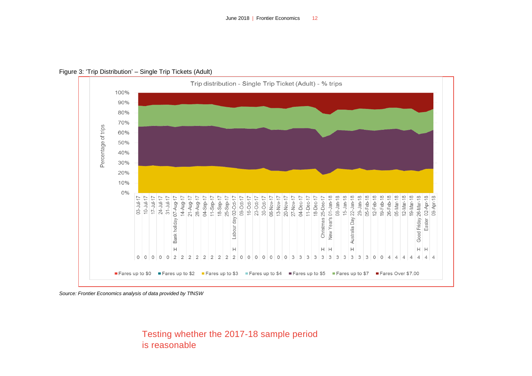

Figure 3: 'Trip Distribution' – Single Trip Tickets (Adult)

<span id="page-16-0"></span>*Source: Frontier Economics analysis of data provided by TfNSW*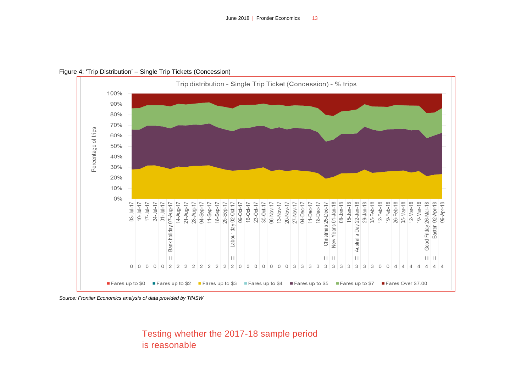

Figure 4: 'Trip Distribution' – Single Trip Tickets (Concession)

<span id="page-17-0"></span>*Source: Frontier Economics analysis of data provided by TfNSW*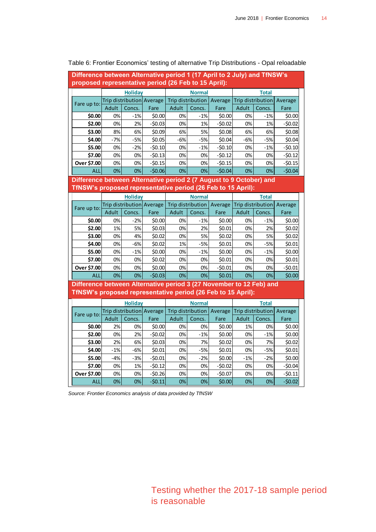| Difference between Alternative period 1 (17 April to 2 July) and TfNSW's<br>proposed representative period (26 Feb to 15 April):    |                |                |                           |       |                              |          |       |                              |          |  |  |
|-------------------------------------------------------------------------------------------------------------------------------------|----------------|----------------|---------------------------|-------|------------------------------|----------|-------|------------------------------|----------|--|--|
|                                                                                                                                     |                | <b>Holiday</b> |                           |       | <b>Normal</b>                |          |       | <b>Total</b>                 |          |  |  |
|                                                                                                                                     |                |                | Trip distribution Average |       | Trip distribution<br>Average |          |       | Trip distribution<br>Average |          |  |  |
| Fare up to:                                                                                                                         | Adult          | Concs.         | Fare                      | Adult | Concs.                       | Fare     | Adult | Concs.                       | Fare     |  |  |
| \$0.00                                                                                                                              | 0%             | $-1%$          | \$0.00                    | 0%    | $-1%$                        | \$0.00   | 0%    | $-1%$                        | \$0.00   |  |  |
| \$2.00                                                                                                                              | 0%             | 2%             | -\$0.03                   | 0%    | 1%                           | $-50.02$ | 0%    | 1%                           | $-50.02$ |  |  |
| \$3.00                                                                                                                              | 8%             | 6%             | \$0.09                    | 6%    | 5%                           | \$0.08   | 6%    | 6%                           | \$0.08   |  |  |
| \$4.00                                                                                                                              | $-7%$          | $-5%$          | \$0.05                    | -6%   | $-5%$                        | \$0.04   | $-6%$ | $-5%$                        | \$0.04   |  |  |
| \$5.00                                                                                                                              | 0%             | -2%            | $-50.10$                  | 0%    | $-1%$                        | $-50.10$ | 0%    | $-1%$                        | $-50.10$ |  |  |
| \$7.00                                                                                                                              | 0%             | 0%             | $-50.13$                  | 0%    | 0%                           | $-50.12$ | 0%    | 0%                           | $-50.12$ |  |  |
| Over \$7.00                                                                                                                         | 0%             | 0%             | $-50.15$                  | 0%    | 0%                           | $-50.15$ | 0%    | 0%                           | $-50.15$ |  |  |
| <b>ALL</b>                                                                                                                          | 0%             | 0%             | $-50.06$                  | 0%    | 0%                           | $-50.04$ | 0%    | 0%                           | $-50.04$ |  |  |
| Difference between Alternative period 2 (7 August to 9 October) and                                                                 |                |                |                           |       |                              |          |       |                              |          |  |  |
| TfNSW's proposed representative period (26 Feb to 15 April):                                                                        |                |                |                           |       |                              |          |       |                              |          |  |  |
|                                                                                                                                     | <b>Holiday</b> |                |                           |       | <b>Normal</b>                |          |       | <b>Total</b>                 |          |  |  |
| Fare up to:                                                                                                                         |                |                | Trip distribution Average |       | Trip distribution            | Average  |       | Trip distribution            | Average  |  |  |
|                                                                                                                                     | Adult          | Concs.         | Fare                      | Adult | Concs.                       | Fare     | Adult | Concs.                       | Fare     |  |  |
| \$0.00                                                                                                                              | 0%             | $-2%$          | \$0.00                    | 0%    | $-1%$                        | \$0.00   | 0%    | $-1%$                        | \$0.00   |  |  |
| \$2.00                                                                                                                              | 1%             | 5%             | \$0.03                    | 0%    | 2%                           | \$0.01   | 0%    | 2%                           | \$0.02   |  |  |
| \$3.00                                                                                                                              | 0%             | 4%             | \$0.02                    | 0%    | 5%                           | \$0.02   | 0%    | 5%                           | \$0.02   |  |  |
| \$4.00                                                                                                                              | 0%             | $-6%$          | \$0.02                    | 1%    | $-5%$                        | \$0.01   | 0%    | $-5%$                        | \$0.01   |  |  |
| \$5.00                                                                                                                              | 0%             | $-1%$          | \$0.00                    | 0%    | $-1%$                        | \$0.00   | 0%    | $-1%$                        | \$0.00   |  |  |
| \$7.00                                                                                                                              | 0%             | 0%             | \$0.02                    | 0%    | 0%                           | \$0.01   | 0%    | 0%                           | \$0.01   |  |  |
| Over \$7.00                                                                                                                         | 0%             | 0%             | \$0.00                    | 0%    | 0%                           | $-50.01$ | 0%    | 0%                           | $-50.01$ |  |  |
| <b>ALL</b>                                                                                                                          | 0%             | 0%             | $-50.03$                  | 0%    | 0%                           | \$0.01   | 0%    | 0%                           | \$0.00   |  |  |
| Difference between Alternative period 3 (27 November to 12 Feb) and<br>TfNSW's proposed representative period (26 Feb to 15 April): |                |                |                           |       |                              |          |       |                              |          |  |  |
|                                                                                                                                     |                | <b>Holiday</b> |                           |       | <b>Normal</b>                |          |       | <b>Total</b>                 |          |  |  |
| Fare up to:                                                                                                                         |                |                | Trip distribution Average |       | Trip distribution            | Average  |       | Trip distribution            | Average  |  |  |
|                                                                                                                                     | Adult          | Concs.         | Fare                      | Adult | Concs.                       | Fare     | Adult | Concs.                       | Fare     |  |  |
| \$0.00                                                                                                                              | 2%             | 0%             | \$0.00                    | 0%    | 0%                           | \$0.00   | 1%    | 0%                           | \$0.00   |  |  |
| \$2.00                                                                                                                              | 0%             | 2%             | $-50.02$                  | 0%    | $-1%$                        | \$0.00   | 0%    | $-1%$                        | \$0.00   |  |  |
| \$3.00                                                                                                                              | 2%             | 6%             | \$0.03                    | 0%    | 7%                           | \$0.02   | 0%    | 7%                           | \$0.02   |  |  |
| \$4.00                                                                                                                              | $-1%$          | $-6%$          | \$0.01                    | 0%    | $-5%$                        | \$0.01   | 0%    | $-5%$                        | \$0.01   |  |  |
| \$5.00                                                                                                                              | $-4%$          | $-3%$          | $-50.01$                  | 0%    | $-2%$                        | \$0.00   | $-1%$ | $-2%$                        | \$0.00   |  |  |
| \$7.00                                                                                                                              | 0%             | 1%             | $-50.12$                  | 0%    | 0%                           | $-50.02$ | 0%    | 0%                           | $-50.04$ |  |  |
| Over \$7.00                                                                                                                         | 0%             | 0%             | $-50.26$                  | 0%    | 0%                           | $-50.07$ | 0%    | 0%                           | $-50.11$ |  |  |
| <b>ALL</b>                                                                                                                          | 0%             | 0%             | $-50.11$                  | 0%    | 0%                           | \$0.00   | 0%    | 0%                           | $-50.02$ |  |  |

#### <span id="page-18-0"></span>Table 6: Frontier Economics' testing of alternative Trip Distributions - Opal reloadable

*Source: Frontier Economics analysis of data provided by TfNSW*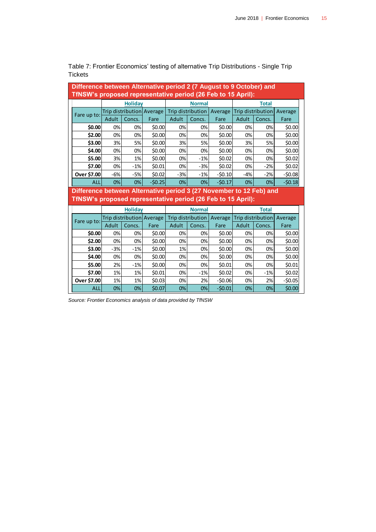| Difference between Alternative period 2 (7 August to 9 October) and<br>TfNSW's proposed representative period (26 Feb to 15 April): |       |                |                           |       |               |                             |                   |                   |          |  |  |  |
|-------------------------------------------------------------------------------------------------------------------------------------|-------|----------------|---------------------------|-------|---------------|-----------------------------|-------------------|-------------------|----------|--|--|--|
|                                                                                                                                     |       | <b>Holiday</b> |                           |       | <b>Normal</b> |                             |                   | <b>Total</b>      |          |  |  |  |
| Fare up to:                                                                                                                         |       |                | Trip distribution Average |       |               | Trip distribution   Average |                   | Trip distribution | Average  |  |  |  |
|                                                                                                                                     | Adult | Concs.         | Fare                      | Adult | Concs.        | Fare                        | Adult             | Concs.            | Fare     |  |  |  |
| \$0.00                                                                                                                              | 0%    | 0%             | \$0.00                    | 0%    | 0%            | \$0.00                      | 0%                | 0%                | \$0.00   |  |  |  |
| \$2.00                                                                                                                              | 0%    | 0%             | \$0.00                    | 0%    | 0%            | \$0.00                      | 0%                | 0%                | \$0.00   |  |  |  |
| \$3.00                                                                                                                              | 3%    | 5%             | \$0.00                    | 3%    | 5%            | \$0.00                      | 3%                | 5%                | \$0.00   |  |  |  |
| \$4.00                                                                                                                              | 0%    | 0%             | \$0.00                    | 0%    | 0%            | \$0.00                      | 0%                | 0%                | \$0.00   |  |  |  |
| \$5.00                                                                                                                              | 3%    | 1%             | \$0.00                    | 0%    | $-1%$         | \$0.02                      | 0%                | 0%                | \$0.02   |  |  |  |
| \$7.00                                                                                                                              | 0%    | $-1%$          | \$0.01                    | 0%    | $-3%$         | \$0.02                      | 0%                | $-2%$             | \$0.02   |  |  |  |
| Over \$7.00                                                                                                                         | -6%   | $-5%$          | \$0.02                    | $-3%$ | $-1%$         | $-50.10$                    | $-4%$             | $-2%$             | $-50.08$ |  |  |  |
| <b>ALL</b>                                                                                                                          | 0%    | 0%             | $-50.25$                  | 0%    | 0%            | $-50.17$                    | 0%                | 0%                | $-50.18$ |  |  |  |
| Difference between Alternative period 3 (27 November to 12 Feb) and<br>TfNSW's proposed representative period (26 Feb to 15 April): |       |                |                           |       |               |                             |                   |                   |          |  |  |  |
|                                                                                                                                     |       | <b>Holiday</b> |                           |       | <b>Normal</b> |                             |                   | <b>Total</b>      |          |  |  |  |
| Fare up to:                                                                                                                         |       |                | Trip distribution Average |       |               | Trip distribution   Average | Trip distribution |                   | Average  |  |  |  |
|                                                                                                                                     | Adult | Concs.         | Fare                      | Adult | Concs.        | Fare                        | Adult             | Concs.            | Fare     |  |  |  |
| \$0.00                                                                                                                              | 0%    | 0%             | \$0.00                    | 0%    | 0%            | \$0.00                      | 0%                | 0%                | \$0.00   |  |  |  |
| \$2.00                                                                                                                              | 0%    | 0%             | \$0.00                    | 0%    | 0%            | \$0.00                      | 0%                | 0%                | \$0.00   |  |  |  |
| \$3.00                                                                                                                              | $-3%$ | $-1%$          | \$0.00                    | 1%    | 0%            | \$0.00                      | 0%                | 0%                | \$0.00   |  |  |  |
| \$4.00                                                                                                                              | 0%    | 0%             | \$0.00                    | 0%    | 0%            | \$0.00                      | 0%                | 0%                | \$0.00   |  |  |  |
| \$5.00                                                                                                                              | 2%    | $-1%$          | \$0.00                    | 0%    | 0%            | \$0.01                      | 0%                | 0%                | \$0.01   |  |  |  |

<span id="page-19-1"></span>**\$7.00** 1% 1% \$0.01 0% -1% \$0.02 0% -1% \$0.02 **Over \$7.00** 1% 1% 1% \$0.03 0% 2% -\$0.06 0% 2% -\$0.05 ALL| 0%| 0%| \$0.07| 0%| 0%| -\$0.01| 0%| 0%| \$0.00

<span id="page-19-0"></span>Table 7: Frontier Economics' testing of alternative Trip Distributions - Single Trip **Tickets** 

*Source: Frontier Economics analysis of data provided by TfNSW*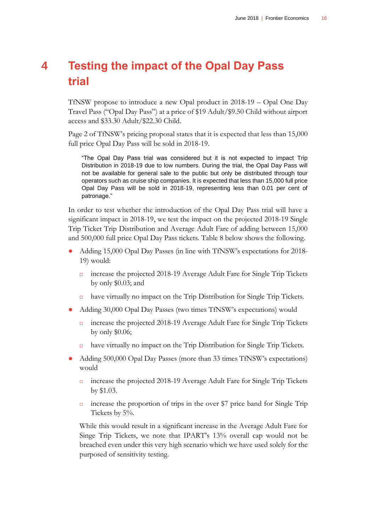## <span id="page-20-0"></span>**4 Testing the impact of the Opal Day Pass trial**

TfNSW propose to introduce a new Opal product in 2018-19 – Opal One Day Travel Pass ("Opal Day Pass") at a price of \$19 Adult/\$9.50 Child without airport access and \$33.30 Adult/\$22.30 Child.

Page 2 of TfNSW's pricing proposal states that it is expected that less than 15,000 full price Opal Day Pass will be sold in 2018-19.

"The Opal Day Pass trial was considered but it is not expected to impact Trip Distribution in 2018-19 due to low numbers. During the trial, the Opal Day Pass will not be available for general sale to the public but only be distributed through tour operators such as cruise ship companies. It is expected that less than 15,000 full price Opal Day Pass will be sold in 2018-19, representing less than 0.01 per cent of patronage."

In order to test whether the introduction of the Opal Day Pass trial will have a significant impact in 2018-19, we test the impact on the projected 2018-19 Single Trip Ticket Trip Distribution and Average Adult Fare of adding between 15,000 and 500,000 full price Opal Day Pass tickets. [Table 8](#page-21-0) below shows the following.

- Adding 15,000 Opal Day Passes (in line with TfNSW's expectations for 2018-19) would:
	- increase the projected 2018-19 Average Adult Fare for Single Trip Tickets by only \$0.03; and
	- have virtually no impact on the Trip Distribution for Single Trip Tickets.
- Adding 30,000 Opal Day Passes (two times TfNSW's expectations) would
	- increase the projected 2018-19 Average Adult Fare for Single Trip Tickets by only \$0.06;
	- have virtually no impact on the Trip Distribution for Single Trip Tickets.
- Adding 500,000 Opal Day Passes (more than 33 times TfNSW's expectations) would
	- increase the projected 2018-19 Average Adult Fare for Single Trip Tickets by \$1.03.
	- increase the proportion of trips in the over \$7 price band for Single Trip Tickets by 5%.

While this would result in a significant increase in the Average Adult Fare for Singe Trip Tickets, we note that IPART's 13% overall cap would not be breached even under this very high scenario which we have used solely for the purposed of sensitivity testing.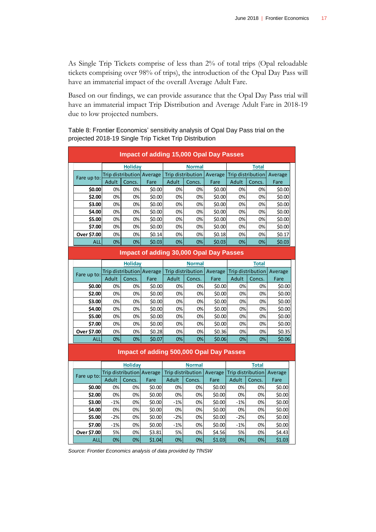As Single Trip Tickets comprise of less than 2% of total trips (Opal reloadable tickets comprising over 98% of trips), the introduction of the Opal Day Pass will have an immaterial impact of the overall Average Adult Fare.

Based on our findings, we can provide assurance that the Opal Day Pass trial will have an immaterial impact Trip Distribution and Average Adult Fare in 2018-19 due to low projected numbers.

<span id="page-21-0"></span>Table 8: Frontier Economics' sensitivity analysis of Opal Day Pass trial on the projected 2018-19 Single Trip Ticket Trip Distribution

| <b>Impact of adding 15,000 Opal Day Passes</b> |       |                |                           |       |                   |         |                   |        |         |  |  |
|------------------------------------------------|-------|----------------|---------------------------|-------|-------------------|---------|-------------------|--------|---------|--|--|
|                                                |       | <b>Holiday</b> |                           |       | <b>Normal</b>     |         |                   | Total  |         |  |  |
| Fare up to:                                    |       |                | Trip distribution Average |       | Trip distribution | Average | Trip distribution |        | Average |  |  |
|                                                | Adult | Concs.         | Fare                      | Adult | Concs.            | Fare    | Adult             | Concs. | Fare    |  |  |
| \$0.00                                         | 0%    | 0%             | \$0.00                    | 0%    | 0%                | \$0.00  | 0%                | 0%     | \$0.00  |  |  |
| \$2.00                                         | 0%    | 0%             | \$0.00                    | 0%    | 0%                | \$0.00  | 0%                | 0%     | \$0.00  |  |  |
| \$3.00                                         | 0%    | 0%             | \$0.00                    | 0%    | 0%                | \$0.00  | 0%                | 0%     | \$0.00  |  |  |
| \$4.00                                         | 0%    | 0%             | \$0.00                    | 0%    | 0%                | \$0.00  | 0%                | 0%     | \$0.00  |  |  |
| \$5.00                                         | 0%    | 0%             | \$0.00                    | 0%    | 0%                | \$0.00  | 0%                | 0%     | \$0.00  |  |  |
| \$7.00                                         | 0%    | 0%             | \$0.00                    | 0%    | 0%                | \$0.00  | 0%                | 0%     | \$0.00  |  |  |
| Over \$7.00                                    | 0%    | 0%             | \$0.14                    | 0%    | 0%                | \$0.18  | 0%                | 0%     | \$0.17  |  |  |
| <b>ALL</b>                                     | 0%    | 0%             | \$0.03                    | 0%    | 0%                | \$0.03  | 0%                | 0%     | \$0.03  |  |  |

#### **Impact of adding 30,000 Opal Day Passes**

|             |       | <b>Holiday</b>            |        |                          | <b>Normal</b> |         | <b>Total</b>             |        |         |
|-------------|-------|---------------------------|--------|--------------------------|---------------|---------|--------------------------|--------|---------|
| Fare up to: |       | Trip distribution Average |        | <b>Trip distribution</b> |               | Average | <b>Trip distribution</b> |        | Average |
|             | Adult | Concs.                    | Fare   | Adult                    | Concs.        | Fare    | Adult                    | Concs. | Fare    |
| \$0.00      | 0%    | 0%                        | \$0.00 | 0%                       | 0%            | \$0.00  | 0%                       | 0%     | \$0.00  |
| \$2.00      | 0%    | 0%                        | \$0.00 | 0%                       | 0%            | \$0.00  | 0%                       | 0%     | \$0.00  |
| \$3.00      | 0%    | 0%                        | \$0.00 | 0%                       | 0%            | \$0.00  | 0%                       | 0%     | \$0.00  |
| \$4.00      | 0%    | 0%                        | \$0.00 | 0%                       | 0%            | \$0.00  | 0%                       | 0%     | \$0.00  |
| \$5.00      | 0%    | 0%                        | \$0.00 | 0%                       | 0%            | \$0.00  | 0%                       | 0%     | \$0.00  |
| \$7.00      | 0%    | 0%                        | \$0.00 | 0%                       | 0%            | \$0.00  | 0%                       | 0%     | \$0.00  |
| Over \$7.00 | 0%    | 0%                        | \$0.28 | 0%                       | 0%            | \$0.36  | 0%                       | 0%     | \$0.35  |
| <b>ALL</b>  | 0%    | 0%                        | \$0.07 | 0%                       | 0%            | \$0.06  | 0%                       | 0%     | \$0.06  |

#### **Impact of adding 500,000 Opal Day Passes**

|             |                           | <b>Holiday</b> |      |                          |        | <b>Normal</b> |                          | <b>Total</b> |         |        |
|-------------|---------------------------|----------------|------|--------------------------|--------|---------------|--------------------------|--------------|---------|--------|
| Fare up to: | Trip distribution Average |                |      | <b>Trip distribution</b> |        | Average       | <b>Trip distribution</b> |              | Average |        |
|             | Adult                     | Concs.         | Fare | Adult                    | Concs. | Fare          | Adult                    | Concs.       | Fare    |        |
| \$0.00      |                           | 0%             | 0%   | \$0.00                   | 0%     | 0%            | \$0.00                   | 0%           | 0%      | \$0.00 |
| \$2.00      |                           | 0%             | 0%   | \$0.00                   | 0%     | 0%            | \$0.00                   | 0%           | 0%      | \$0.00 |
| \$3.00      |                           | $-1%$          | 0%   | \$0.00                   | $-1%$  | 0%            | \$0.00                   | $-1%$        | 0%      | \$0.00 |
| \$4.00      |                           | 0%             | 0%   | \$0.00                   | 0%     | 0%            | \$0.00                   | 0%           | 0%      | \$0.00 |
| \$5.00      |                           | $-2%$          | 0%   | \$0.00                   | $-2%$  | 0%            | \$0.00                   | $-2%$        | 0%      | \$0.00 |
| \$7.00      |                           | $-1%$          | 0%   | \$0.00                   | $-1%$  | 0%            | \$0.00                   | $-1%$        | 0%      | \$0.00 |
| Over \$7.00 |                           | 5%             | 0%   | \$3.81                   | 5%     | 0%            | \$4.56                   | 5%           | 0%      | \$4.43 |
|             | <b>ALL</b>                | 0%             | 0%   | \$1.04                   | 0%     | 0%            | \$1.03                   | 0%           | 0%      | \$1.03 |

*Source: Frontier Economics analysis of data provided by TfNSW*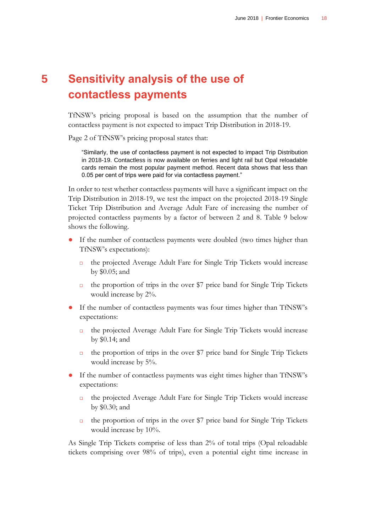## <span id="page-22-0"></span>**5 Sensitivity analysis of the use of contactless payments**

TfNSW's pricing proposal is based on the assumption that the number of contactless payment is not expected to impact Trip Distribution in 2018-19.

Page 2 of TfNSW's pricing proposal states that:

"Similarly, the use of contactless payment is not expected to impact Trip Distribution in 2018-19. Contactless is now available on ferries and light rail but Opal reloadable cards remain the most popular payment method. Recent data shows that less than 0.05 per cent of trips were paid for via contactless payment."

In order to test whether contactless payments will have a significant impact on the Trip Distribution in 2018-19, we test the impact on the projected 2018-19 Single Ticket Trip Distribution and Average Adult Fare of increasing the number of projected contactless payments by a factor of between 2 and 8. [Table 9](#page-24-0) below shows the following.

- If the number of contactless payments were doubled (two times higher than TfNSW's expectations):
	- the projected Average Adult Fare for Single Trip Tickets would increase by \$0.05; and
	- $\Box$  the proportion of trips in the over \$7 price band for Single Trip Tickets would increase by 2%.
- If the number of contactless payments was four times higher than TfNSW's expectations:
	- the projected Average Adult Fare for Single Trip Tickets would increase by \$0.14; and
	- $\Box$  the proportion of trips in the over \$7 price band for Single Trip Tickets would increase by 5%.
- If the number of contactless payments was eight times higher than TfNSW's expectations:
	- the projected Average Adult Fare for Single Trip Tickets would increase by \$0.30; and
	- $\Box$  the proportion of trips in the over \$7 price band for Single Trip Tickets would increase by 10%.

As Single Trip Tickets comprise of less than 2% of total trips (Opal reloadable tickets comprising over 98% of trips), even a potential eight time increase in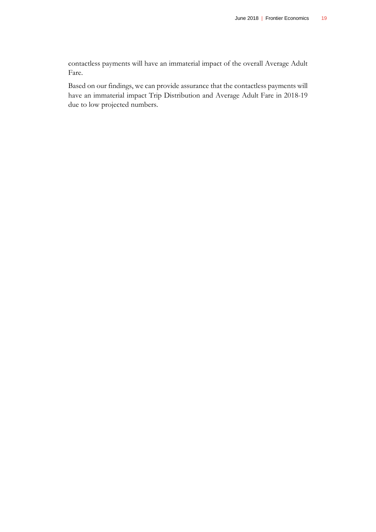contactless payments will have an immaterial impact of the overall Average Adult Fare.

Based on our findings, we can provide assurance that the contactless payments will have an immaterial impact Trip Distribution and Average Adult Fare in 2018-19 due to low projected numbers.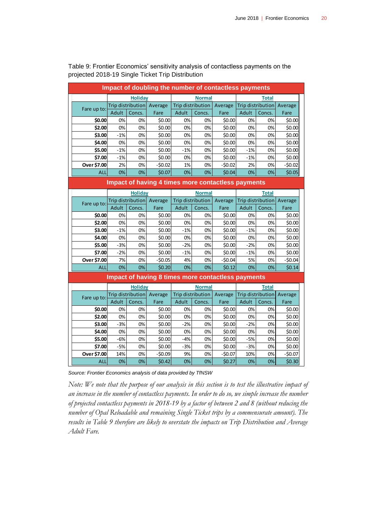| Impact of doubling the number of contactless payments     |                |                   |                                                    |                          |                   |          |              |                   |                           |  |
|-----------------------------------------------------------|----------------|-------------------|----------------------------------------------------|--------------------------|-------------------|----------|--------------|-------------------|---------------------------|--|
|                                                           | <b>Holiday</b> |                   |                                                    | <b>Normal</b>            |                   |          | <b>Total</b> |                   |                           |  |
| Fare up to:                                               |                |                   | Trip distribution Average                          |                          | Trip distribution | Average  |              |                   | Trip distribution Average |  |
|                                                           | Adult          | Concs.            | Fare                                               | Adult                    | Concs.            | Fare     | Adult        | Concs.            | Fare                      |  |
| \$0.00                                                    | 0%             | 0%                | \$0.00                                             | 0%                       | 0%                | \$0.00   | 0%           | 0%                | \$0.00                    |  |
| \$2.00                                                    | 0%             | 0%                | \$0.00                                             | 0%                       | 0%                | \$0.00   | 0%           | 0%                | \$0.00                    |  |
| \$3.00                                                    | $-1%$          | 0%                | \$0.00                                             | 0%                       | 0%                | \$0.00   | 0%           | 0%                | \$0.00                    |  |
| \$4.00                                                    | 0%             | 0%                | \$0.00                                             | 0%                       | 0%                | \$0.00   | 0%           | 0%                | \$0.00                    |  |
| \$5.00                                                    | $-1%$          | 0%                | \$0.00                                             | $-1%$                    | 0%                | \$0.00   | $-1%$        | 0%                | \$0.00                    |  |
| \$7.00                                                    | $-1%$          | 0%                | \$0.00                                             | 0%                       | 0%                | \$0.00   | $-1%$        | 0%                | \$0.00                    |  |
| Over \$7.00                                               | 2%             | 0%                | $-50.02$                                           | 1%                       | 0%                | $-50.02$ | 2%           | 0%                | $-50.02$                  |  |
| <b>ALL</b>                                                | 0%             | 0%                | \$0.07                                             | 0%                       | 0%                | \$0.04   | 0%           | 0%                | \$0.05                    |  |
| <b>Impact of having 4 times more contactless payments</b> |                |                   |                                                    |                          |                   |          |              |                   |                           |  |
|                                                           |                | <b>Holiday</b>    |                                                    | <b>Normal</b>            |                   |          | <b>Total</b> |                   |                           |  |
| Fare up to:                                               |                |                   | Trip distribution Average                          | <b>Trip distribution</b> |                   | Average  |              | Trip distribution | Average                   |  |
|                                                           | Adult          | Concs.            | Fare                                               | Adult                    | Concs.            | Fare     | Adult        | Concs.            | Fare                      |  |
| \$0.00                                                    | 0%             | 0%                | \$0.00                                             | 0%                       | 0%                | \$0.00   | 0%           | 0%                | \$0.00                    |  |
| \$2.00                                                    | 0%             | 0%                | \$0.00                                             | 0%                       | 0%                | \$0.00   | 0%           | 0%                | \$0.00                    |  |
| \$3.00                                                    | $-1%$          | 0%                | \$0.00                                             | $-1%$                    | 0%                | \$0.00   | $-1%$        | 0%                | \$0.00                    |  |
| \$4.00                                                    | 0%             | 0%                | \$0.00                                             | 0%                       | 0%                | \$0.00   | 0%           | 0%                | \$0.00                    |  |
| \$5.00                                                    | $-3%$          | 0%                | \$0.00                                             | $-2%$                    | 0%                | \$0.00   | $-2%$        | 0%                | \$0.00                    |  |
| \$7.00                                                    | $-2%$          | 0%                | \$0.00                                             | $-1%$                    | 0%                | \$0.00   | $-1%$        | 0%                | \$0.00                    |  |
| Over \$7.00                                               | 7%             | 0%                | $-50.05$                                           | 4%                       | 0%                | $-50.04$ | 5%           | 0%                | $-50.04$                  |  |
| <b>ALL</b>                                                | 0%             | 0%                | \$0.20                                             | 0%                       | 0%                | \$0.12   | 0%           | 0%                | \$0.14                    |  |
|                                                           |                |                   | Impact of having 8 times more contactless payments |                          |                   |          |              |                   |                           |  |
|                                                           |                | <b>Holiday</b>    |                                                    | <b>Normal</b>            |                   |          | <b>Total</b> |                   |                           |  |
| Fare up to:                                               |                | Trip distribution | Average                                            |                          | Trip distribution | Average  |              | Trip distribution | Average                   |  |
|                                                           | Adult          | Concs.            | Fare                                               | Adult                    | Concs.            | Fare     | Adult        | Concs.            | Fare                      |  |
| \$0.00                                                    | 0%             | 0%                | \$0.00                                             | 0%                       | 0%                | \$0.00   | 0%           | 0%                | \$0.00                    |  |
| \$2.00                                                    | 0%             | 0%                | \$0.00                                             | 0%                       | 0%                | \$0.00   | 0%           | 0%                | \$0.00                    |  |
| \$3.00                                                    | $-3%$          | 0%                | \$0.00                                             | -2%                      | 0%                | \$0.00   | -2%          | 0%                | \$0.00                    |  |
| \$4.00                                                    | 0%             | 0%                | \$0.00                                             | 0%                       | 0%                | \$0.00   | 0%           | 0%                | \$0.00                    |  |
| \$5.00                                                    | $-6%$          | 0%                | \$0.00                                             | $-4%$                    | 0%                | \$0.00   | $-5%$        | 0%                | \$0.00                    |  |
| \$7.00                                                    | $-5%$          | 0%                | \$0.00                                             | $-3%$                    | 0%                | \$0.00   | $-3%$        | 0%                | \$0.00                    |  |
| Over \$7.00                                               | 14%            | 0%                | $-50.09$                                           | 9%                       | 0%                | $-50.07$ | 10%          | 0%                | $-50.07$                  |  |
| ALL                                                       | 0%             | 0%                | \$0.42                                             | 0%                       | 0%                | \$0.27   | 0%           | 0%                | \$0.30                    |  |

<span id="page-24-0"></span>Table 9: Frontier Economics' sensitivity analysis of contactless payments on the projected 2018-19 Single Ticket Trip Distribution

*Source: Frontier Economics analysis of data provided by TfNSW*

*Note: We note that the purpose of our analysis in this section is to test the illustrative impact of an increase in the number of contactless payments. In order to do so, we simple increase the number of projected contactless payments in 2018-19 by a factor of between 2 and 8 (without reducing the number of Opal Reloadable and remaining Single Ticket trips by a commensurate amount). The results in Table 9 therefore are likely to overstate the impacts on Trip Distribution and Average Adult Fare.*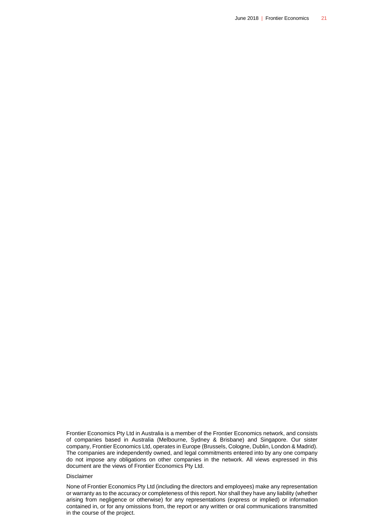Frontier Economics Pty Ltd in Australia is a member of the Frontier Economics network, and consists of companies based in Australia (Melbourne, Sydney & Brisbane) and Singapore. Our sister company, Frontier Economics Ltd, operates in Europe (Brussels, Cologne, Dublin, London & Madrid). The companies are independently owned, and legal commitments entered into by any one company do not impose any obligations on other companies in the network. All views expressed in this document are the views of Frontier Economics Pty Ltd.

#### Disclaimer

None of Frontier Economics Pty Ltd (including the directors and employees) make any representation or warranty as to the accuracy or completeness of this report. Nor shall they have any liability (whether arising from negligence or otherwise) for any representations (express or implied) or information contained in, or for any omissions from, the report or any written or oral communications transmitted in the course of the project.